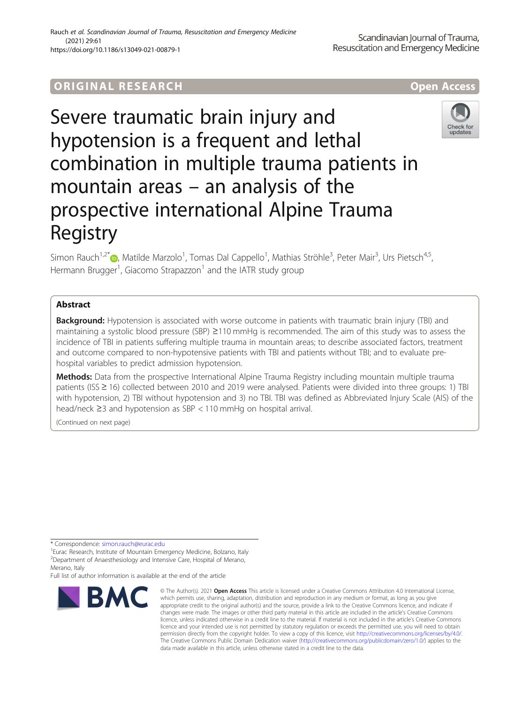## ORIGINA L R E S EA RCH Open Access

# Severe traumatic brain injury and hypotension is a frequent and lethal combination in multiple trauma patients in mountain areas – an analysis of the prospective international Alpine Trauma Registry



Simon Rauch<sup>1[,](http://orcid.org/0000-0002-3264-6303)2\*</sup>®, Matilde Marzolo<sup>1</sup>, Tomas Dal Cappello<sup>1</sup>, Mathias Ströhle<sup>3</sup>, Peter Mair<sup>3</sup>, Urs Pietsch<sup>4,5</sup>, Hermann Brugger<sup>1</sup>, Giacomo Strapazzon<sup>1</sup> and the IATR study group

## Abstract

**Background:** Hypotension is associated with worse outcome in patients with traumatic brain injury (TBI) and maintaining a systolic blood pressure (SBP) ≥110 mmHg is recommended. The aim of this study was to assess the incidence of TBI in patients suffering multiple trauma in mountain areas; to describe associated factors, treatment and outcome compared to non-hypotensive patients with TBI and patients without TBI; and to evaluate prehospital variables to predict admission hypotension.

Methods: Data from the prospective International Alpine Trauma Registry including mountain multiple trauma patients (ISS ≥ 16) collected between 2010 and 2019 were analysed. Patients were divided into three groups: 1) TBI with hypotension, 2) TBI without hypotension and 3) no TBI. TBI was defined as Abbreviated Injury Scale (AIS) of the head/neck ≥3 and hypotension as SBP < 110 mmHg on hospital arrival.

(Continued on next page)

\* Correspondence: [simon.rauch@eurac.edu](mailto:simon.rauch@eurac.edu) <sup>1</sup>

<sup>1</sup> Eurac Research, Institute of Mountain Emergency Medicine, Bolzano, Italy <sup>2</sup> Department of Anaesthesiology and Intensive Care, Hospital of Merano, Merano, Italy

Full list of author information is available at the end of the article



<sup>©</sup> The Author(s), 2021 **Open Access** This article is licensed under a Creative Commons Attribution 4.0 International License, which permits use, sharing, adaptation, distribution and reproduction in any medium or format, as long as you give appropriate credit to the original author(s) and the source, provide a link to the Creative Commons licence, and indicate if changes were made. The images or other third party material in this article are included in the article's Creative Commons licence, unless indicated otherwise in a credit line to the material. If material is not included in the article's Creative Commons licence and your intended use is not permitted by statutory regulation or exceeds the permitted use, you will need to obtain permission directly from the copyright holder. To view a copy of this licence, visit [http://creativecommons.org/licenses/by/4.0/.](http://creativecommons.org/licenses/by/4.0/) The Creative Commons Public Domain Dedication waiver [\(http://creativecommons.org/publicdomain/zero/1.0/](http://creativecommons.org/publicdomain/zero/1.0/)) applies to the data made available in this article, unless otherwise stated in a credit line to the data.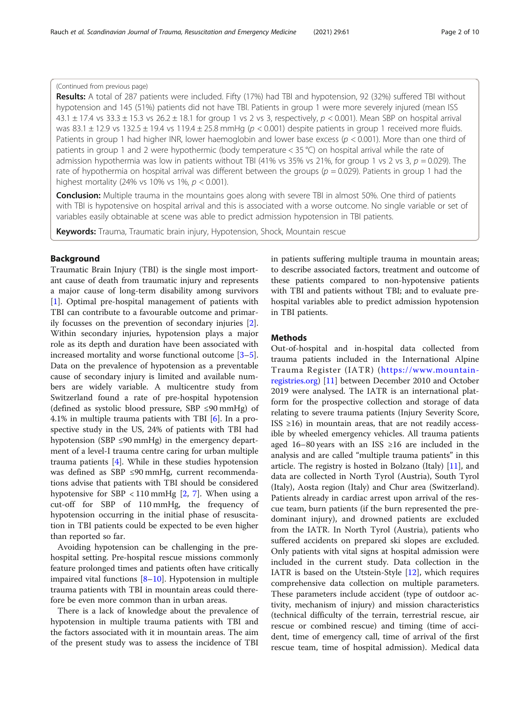#### (Continued from previous page)

Results: A total of 287 patients were included. Fifty (17%) had TBI and hypotension, 92 (32%) suffered TBI without hypotension and 145 (51%) patients did not have TBI. Patients in group 1 were more severely injured (mean ISS  $43.1 \pm 17.4$  vs  $33.3 \pm 15.3$  vs  $26.2 \pm 18.1$  for group 1 vs 2 vs 3, respectively,  $p < 0.001$ ). Mean SBP on hospital arrival was 83.1  $\pm$  12.9 vs 132.5  $\pm$  19.4 vs 119.4  $\pm$  25.8 mmHg ( $p < 0.001$ ) despite patients in group 1 received more fluids. Patients in group 1 had higher INR, lower haemoglobin and lower base excess ( $p < 0.001$ ). More than one third of patients in group 1 and 2 were hypothermic (body temperature < 35 °C) on hospital arrival while the rate of admission hypothermia was low in patients without TBI (41% vs 35% vs 21%, for group 1 vs 2 vs 3,  $p = 0.029$ ). The rate of hypothermia on hospital arrival was different between the groups ( $p = 0.029$ ). Patients in group 1 had the highest mortality (24% vs 10% vs 1%,  $p < 0.001$ ).

**Conclusion:** Multiple trauma in the mountains goes along with severe TBI in almost 50%. One third of patients with TBI is hypotensive on hospital arrival and this is associated with a worse outcome. No single variable or set of variables easily obtainable at scene was able to predict admission hypotension in TBI patients.

Keywords: Trauma, Traumatic brain injury, Hypotension, Shock, Mountain rescue

#### Background

Traumatic Brain Injury (TBI) is the single most important cause of death from traumatic injury and represents a major cause of long-term disability among survivors [[1\]](#page-8-0). Optimal pre-hospital management of patients with TBI can contribute to a favourable outcome and primarily focusses on the prevention of secondary injuries [\[2](#page-8-0)]. Within secondary injuries, hypotension plays a major role as its depth and duration have been associated with increased mortality and worse functional outcome [\[3](#page-8-0)–[5](#page-8-0)]. Data on the prevalence of hypotension as a preventable cause of secondary injury is limited and available numbers are widely variable. A multicentre study from Switzerland found a rate of pre-hospital hypotension (defined as systolic blood pressure, SBP ≤90 mmHg) of 4.1% in multiple trauma patients with TBI [\[6](#page-8-0)]. In a prospective study in the US, 24% of patients with TBI had hypotension (SBP ≤90 mmHg) in the emergency department of a level-I trauma centre caring for urban multiple trauma patients [[4\]](#page-8-0). While in these studies hypotension was defined as SBP ≤90 mmHg, current recommendations advise that patients with TBI should be considered hypotensive for SBP < 110 mmHg  $[2, 7]$  $[2, 7]$  $[2, 7]$  $[2, 7]$ . When using a cut-off for SBP of 110 mmHg, the frequency of hypotension occurring in the initial phase of resuscitation in TBI patients could be expected to be even higher than reported so far.

Avoiding hypotension can be challenging in the prehospital setting. Pre-hospital rescue missions commonly feature prolonged times and patients often have critically impaired vital functions [[8](#page-8-0)–[10\]](#page-8-0). Hypotension in multiple trauma patients with TBI in mountain areas could therefore be even more common than in urban areas.

There is a lack of knowledge about the prevalence of hypotension in multiple trauma patients with TBI and the factors associated with it in mountain areas. The aim of the present study was to assess the incidence of TBI

in patients suffering multiple trauma in mountain areas; to describe associated factors, treatment and outcome of these patients compared to non-hypotensive patients with TBI and patients without TBI; and to evaluate prehospital variables able to predict admission hypotension in TBI patients.

#### Methods

Out-of-hospital and in-hospital data collected from trauma patients included in the International Alpine Trauma Register (IATR) ([https://www.mountain](https://www.mountain-registries.org)[registries.org](https://www.mountain-registries.org)) [[11](#page-8-0)] between December 2010 and October 2019 were analysed. The IATR is an international platform for the prospective collection and storage of data relating to severe trauma patients (Injury Severity Score, ISS  $\geq$ 16) in mountain areas, that are not readily accessible by wheeled emergency vehicles. All trauma patients aged 16–80 years with an ISS  $\geq$ 16 are included in the analysis and are called "multiple trauma patients" in this article. The registry is hosted in Bolzano (Italy) [\[11](#page-8-0)], and data are collected in North Tyrol (Austria), South Tyrol (Italy), Aosta region (Italy) and Chur area (Switzerland). Patients already in cardiac arrest upon arrival of the rescue team, burn patients (if the burn represented the predominant injury), and drowned patients are excluded from the IATR. In North Tyrol (Austria), patients who suffered accidents on prepared ski slopes are excluded. Only patients with vital signs at hospital admission were included in the current study. Data collection in the IATR is based on the Utstein-Style [[12](#page-8-0)], which requires comprehensive data collection on multiple parameters. These parameters include accident (type of outdoor activity, mechanism of injury) and mission characteristics (technical difficulty of the terrain, terrestrial rescue, air rescue or combined rescue) and timing (time of accident, time of emergency call, time of arrival of the first rescue team, time of hospital admission). Medical data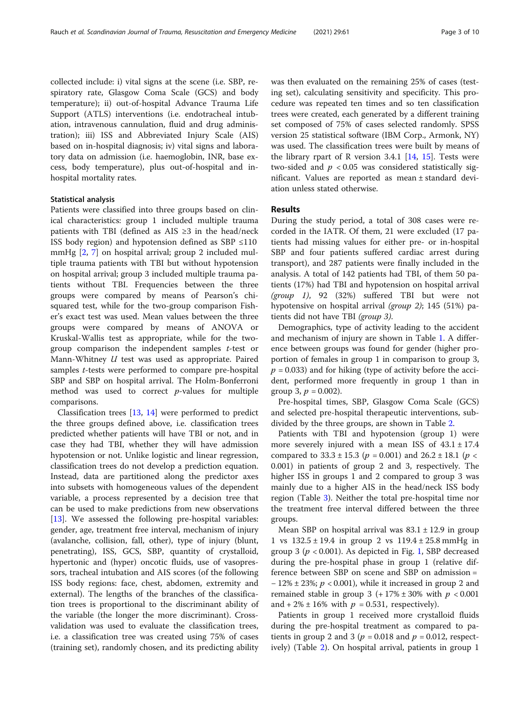collected include: i) vital signs at the scene (i.e. SBP, respiratory rate, Glasgow Coma Scale (GCS) and body temperature); ii) out-of-hospital Advance Trauma Life Support (ATLS) interventions (i.e. endotracheal intubation, intravenous cannulation, fluid and drug administration); iii) ISS and Abbreviated Injury Scale (AIS) based on in-hospital diagnosis; iv) vital signs and laboratory data on admission (i.e. haemoglobin, INR, base excess, body temperature), plus out-of-hospital and inhospital mortality rates.

#### Statistical analysis

Patients were classified into three groups based on clinical characteristics: group 1 included multiple trauma patients with TBI (defined as AIS  $\geq$ 3 in the head/neck ISS body region) and hypotension defined as SBP ≤110 mmHg [\[2](#page-8-0), [7\]](#page-8-0) on hospital arrival; group 2 included multiple trauma patients with TBI but without hypotension on hospital arrival; group 3 included multiple trauma patients without TBI. Frequencies between the three groups were compared by means of Pearson's chisquared test, while for the two-group comparison Fisher's exact test was used. Mean values between the three groups were compared by means of ANOVA or Kruskal-Wallis test as appropriate, while for the twogroup comparison the independent samples t-test or Mann-Whitney U test was used as appropriate. Paired samples t-tests were performed to compare pre-hospital SBP and SBP on hospital arrival. The Holm-Bonferroni method was used to correct  $p$ -values for multiple comparisons.

Classification trees [[13](#page-8-0), [14](#page-8-0)] were performed to predict the three groups defined above, i.e. classification trees predicted whether patients will have TBI or not, and in case they had TBI, whether they will have admission hypotension or not. Unlike logistic and linear regression, classification trees do not develop a prediction equation. Instead, data are partitioned along the predictor axes into subsets with homogeneous values of the dependent variable, a process represented by a decision tree that can be used to make predictions from new observations [[13\]](#page-8-0). We assessed the following pre-hospital variables: gender, age, treatment free interval, mechanism of injury (avalanche, collision, fall, other), type of injury (blunt, penetrating), ISS, GCS, SBP, quantity of crystalloid, hypertonic and (hyper) oncotic fluids, use of vasopressors, tracheal intubation and AIS scores (of the following ISS body regions: face, chest, abdomen, extremity and external). The lengths of the branches of the classification trees is proportional to the discriminant ability of the variable (the longer the more discriminant). Crossvalidation was used to evaluate the classification trees, i.e. a classification tree was created using 75% of cases (training set), randomly chosen, and its predicting ability

was then evaluated on the remaining 25% of cases (testing set), calculating sensitivity and specificity. This procedure was repeated ten times and so ten classification trees were created, each generated by a different training set composed of 75% of cases selected randomly. SPSS version 25 statistical software (IBM Corp., Armonk, NY) was used. The classification trees were built by means of the library rpart of R version 3.4.1  $[14, 15]$  $[14, 15]$  $[14, 15]$  $[14, 15]$ . Tests were two-sided and  $p < 0.05$  was considered statistically significant. Values are reported as mean ± standard deviation unless stated otherwise.

#### Results

During the study period, a total of 308 cases were recorded in the IATR. Of them, 21 were excluded (17 patients had missing values for either pre- or in-hospital SBP and four patients suffered cardiac arrest during transport), and 287 patients were finally included in the analysis. A total of 142 patients had TBI, of them 50 patients (17%) had TBI and hypotension on hospital arrival  $(group 1)$ , 92  $(32%)$  suffered TBI but were not hypotensive on hospital arrival (group 2); 145 (51%) patients did not have TBI (group 3).

Demographics, type of activity leading to the accident and mechanism of injury are shown in Table [1](#page-3-0). A difference between groups was found for gender (higher proportion of females in group 1 in comparison to group 3,  $p = 0.033$ ) and for hiking (type of activity before the accident, performed more frequently in group 1 than in group 3,  $p = 0.002$ ).

Pre-hospital times, SBP, Glasgow Coma Scale (GCS) and selected pre-hospital therapeutic interventions, subdivided by the three groups, are shown in Table [2.](#page-3-0)

Patients with TBI and hypotension (group 1) were more severely injured with a mean ISS of  $43.1 \pm 17.4$ compared to  $33.3 \pm 15.3$  ( $p = 0.001$ ) and  $26.2 \pm 18.1$  ( $p <$ 0.001) in patients of group 2 and 3, respectively. The higher ISS in groups 1 and 2 compared to group 3 was mainly due to a higher AIS in the head/neck ISS body region (Table [3\)](#page-4-0). Neither the total pre-hospital time nor the treatment free interval differed between the three groups.

Mean SBP on hospital arrival was  $83.1 \pm 12.9$  in group 1 vs  $132.5 \pm 19.4$  in group 2 vs  $119.4 \pm 25.8$  mmHg in group 3 ( $p < 0.001$ ). As depicted in Fig. [1,](#page-4-0) SBP decreased during the pre-hospital phase in group 1 (relative difference between SBP on scene and SBP on admission =  $-12\% \pm 23\%; p < 0.001$ , while it increased in group 2 and remained stable in group 3 (+17%  $\pm$  30% with  $p < 0.001$ and + 2%  $\pm$  16% with  $p = 0.531$ , respectively).

Patients in group 1 received more crystalloid fluids during the pre-hospital treatment as compared to patients in group 2 and 3 ( $p = 0.018$  and  $p = 0.012$ , respectively) (Table [2\)](#page-3-0). On hospital arrival, patients in group 1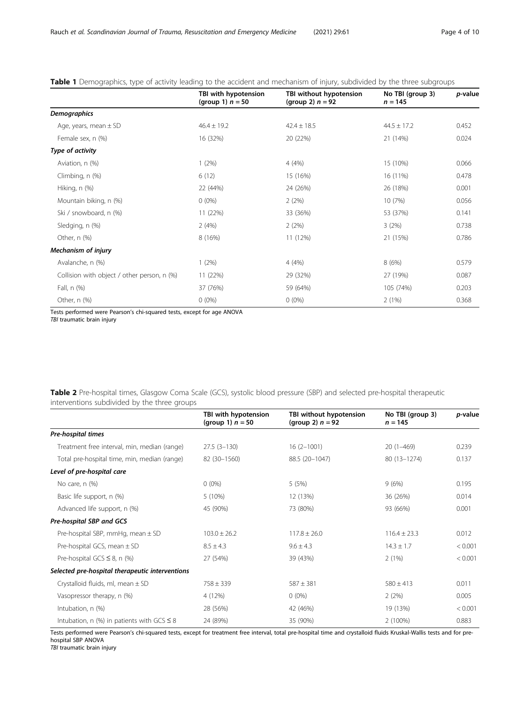### <span id="page-3-0"></span>Table 1 Demographics, type of activity leading to the accident and mechanism of injury, subdivided by the three subgroups

|                                             | TBI with hypotension<br>(group 1) $n = 50$ | TBI without hypotension<br>(group 2) $n = 92$ | No TBI (group 3)<br>$n = 145$ | p-value |
|---------------------------------------------|--------------------------------------------|-----------------------------------------------|-------------------------------|---------|
| <b>Demographics</b>                         |                                            |                                               |                               |         |
| Age, years, mean $\pm$ SD                   | $46.4 \pm 19.2$                            | $42.4 \pm 18.5$                               | $44.5 \pm 17.2$               | 0.452   |
| Female sex, n (%)                           | 16 (32%)                                   | 20 (22%)                                      | 21 (14%)                      | 0.024   |
| Type of activity                            |                                            |                                               |                               |         |
| Aviation, n (%)                             | 1(2%)                                      | 4 (4%)                                        | 15 (10%)                      | 0.066   |
| Climbing, n (%)                             | 6(12)                                      | 15 (16%)                                      | 16 (11%)                      | 0.478   |
| Hiking, n (%)                               | 22 (44%)                                   | 24 (26%)                                      | 26 (18%)                      | 0.001   |
| Mountain biking, n (%)                      | $0(0\%)$                                   | 2(2%)                                         | 10 (7%)                       | 0.056   |
| Ski / snowboard, n (%)                      | 11 (22%)                                   | 33 (36%)                                      | 53 (37%)                      | 0.141   |
| Sledging, n (%)                             | 2(4%)                                      | 2(2%)                                         | 3(2%)                         | 0.738   |
| Other, n (%)                                | 8 (16%)                                    | 11 (12%)                                      | 21 (15%)                      | 0.786   |
| <b>Mechanism of injury</b>                  |                                            |                                               |                               |         |
| Avalanche, n (%)                            | 1(2%)                                      | 4 (4%)                                        | 8(6%)                         | 0.579   |
| Collision with object / other person, n (%) | 11 (22%)                                   | 29 (32%)                                      | 27 (19%)                      | 0.087   |
| Fall, n (%)                                 | 37 (76%)                                   | 59 (64%)                                      | 105 (74%)                     | 0.203   |
| Other, n (%)                                | $0(0\%)$                                   | $0(0\%)$                                      | 2(1%)                         | 0.368   |

Tests performed were Pearson's chi-squared tests, except for age ANOVA TBI traumatic brain injury

Table 2 Pre-hospital times, Glasgow Coma Scale (GCS), systolic blood pressure (SBP) and selected pre-hospital therapeutic interventions subdivided by the three groups

|                                                    | TBI with hypotension<br>(group 1) $n = 50$ | TBI without hypotension<br>(group 2) $n = 92$ | No TBI (group 3)<br>$n = 145$ | p-value |
|----------------------------------------------------|--------------------------------------------|-----------------------------------------------|-------------------------------|---------|
| Pre-hospital times                                 |                                            |                                               |                               |         |
| Treatment free interval, min, median (range)       | $27.5(3-130)$                              | $16(2-1001)$                                  | $20(1-469)$                   | 0.239   |
| Total pre-hospital time, min, median (range)       | 82 (30-1560)                               | 88.5 (20-1047)                                | 80 (13-1274)                  | 0.137   |
| Level of pre-hospital care                         |                                            |                                               |                               |         |
| No care, $n$ $(\%)$                                | $0(0\%)$                                   | 5 (5%)                                        | 9(6%)                         | 0.195   |
| Basic life support, n (%)                          | $5(10\%)$                                  | 12 (13%)                                      | 36 (26%)                      | 0.014   |
| Advanced life support, n (%)                       | 45 (90%)                                   | 73 (80%)                                      | 93 (66%)                      | 0.001   |
| Pre-hospital SBP and GCS                           |                                            |                                               |                               |         |
| Pre-hospital SBP, mmHg, mean $\pm$ SD              | $103.0 \pm 26.2$                           | $117.8 + 26.0$                                | $116.4 + 23.3$                | 0.012   |
| Pre-hospital GCS, mean $\pm$ SD                    | $8.5 \pm 4.3$                              | $9.6 \pm 4.3$                                 | $14.3 \pm 1.7$                | < 0.001 |
| Pre-hospital GCS $\leq$ 8, n (%)                   | 27 (54%)                                   | 39 (43%)                                      | 2(1%)                         | < 0.001 |
| Selected pre-hospital therapeutic interventions    |                                            |                                               |                               |         |
| Crystalloid fluids, ml, mean $\pm$ SD              | $758 \pm 339$                              | $587 \pm 381$                                 | $580 \pm 413$                 | 0.011   |
| Vasopressor therapy, n (%)                         | 4 (12%)                                    | $0(0\%)$                                      | 2(2%)                         | 0.005   |
| Intubation, n (%)                                  | 28 (56%)                                   | 42 (46%)                                      | 19 (13%)                      | < 0.001 |
| Intubation, n $(\%)$ in patients with GCS $\leq$ 8 | 24 (89%)                                   | 35 (90%)                                      | 2 (100%)                      | 0.883   |

Tests performed were Pearson's chi-squared tests, except for treatment free interval, total pre-hospital time and crystalloid fluids Kruskal-Wallis tests and for prehospital SBP ANOVA

TBI traumatic brain injury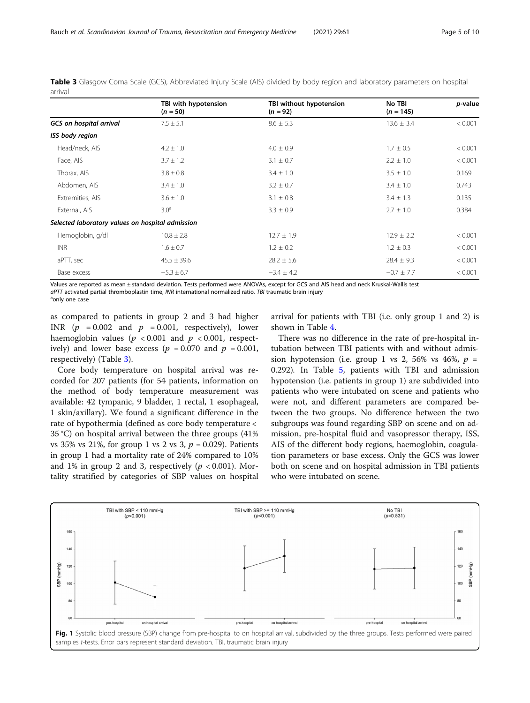|                                                  | TBI with hypotension | TBI without hypotension | No TBI         | p-value |
|--------------------------------------------------|----------------------|-------------------------|----------------|---------|
|                                                  | $(n = 50)$           | $(n = 92)$              | $(n = 145)$    |         |
| <b>GCS</b> on hospital arrival                   | $7.5 \pm 5.1$        | $8.6 \pm 5.3$           | $13.6 \pm 3.4$ | < 0.001 |
| ISS body region                                  |                      |                         |                |         |
| Head/neck, AIS                                   | $4.2 \pm 1.0$        | $4.0 \pm 0.9$           | $1.7 \pm 0.5$  | < 0.001 |
| Face, AIS                                        | $3.7 \pm 1.2$        | $3.1 \pm 0.7$           | $2.2 \pm 1.0$  | < 0.001 |
| Thorax, AIS                                      | $3.8 \pm 0.8$        | $3.4 \pm 1.0$           | $3.5 \pm 1.0$  | 0.169   |
| Abdomen, AIS                                     | $3.4 \pm 1.0$        | $3.2 \pm 0.7$           | $3.4 \pm 1.0$  | 0.743   |
| Extremities, AIS                                 | $3.6 \pm 1.0$        | $3.1 \pm 0.8$           | $3.4 \pm 1.3$  | 0.135   |
| External, AIS                                    | 3.0 <sup>a</sup>     | $3.3 \pm 0.9$           | $2.7 \pm 1.0$  | 0.384   |
| Selected laboratory values on hospital admission |                      |                         |                |         |
| Hemoglobin, g/dl                                 | $10.8 \pm 2.8$       | $12.7 \pm 1.9$          | $12.9 \pm 2.2$ | < 0.001 |
| <b>INR</b>                                       | $1.6 \pm 0.7$        | $1.2 \pm 0.2$           | $1.2 \pm 0.3$  | < 0.001 |
| aPTT, sec                                        | $45.5 \pm 39.6$      | $28.2 \pm 5.6$          | $28.4 \pm 9.3$ | < 0.001 |
| Base excess                                      | $-5.3 \pm 6.7$       | $-3.4 \pm 4.2$          | $-0.7 \pm 7.7$ | < 0.001 |

<span id="page-4-0"></span>Table 3 Glasgow Coma Scale (GCS), Abbreviated Injury Scale (AIS) divided by body region and laboratory parameters on hospital arrival

Values are reported as mean ± standard deviation. Tests performed were ANOVAs, except for GCS and AIS head and neck Kruskal-Wallis test  $a$ PTT activated partial thromboplastin time, INR international normalized ratio, TBI traumatic brain injury

<sup>a</sup>only one case

as compared to patients in group 2 and 3 had higher INR  $(p = 0.002$  and  $p = 0.001$ , respectively), lower haemoglobin values ( $p < 0.001$  and  $p < 0.001$ , respectively) and lower base excess ( $p = 0.070$  and  $p = 0.001$ , respectively) (Table 3).

Core body temperature on hospital arrival was recorded for 207 patients (for 54 patients, information on the method of body temperature measurement was available: 42 tympanic, 9 bladder, 1 rectal, 1 esophageal, 1 skin/axillary). We found a significant difference in the rate of hypothermia (defined as core body temperature < 35 °C) on hospital arrival between the three groups (41% vs 35% vs 21%, for group 1 vs 2 vs 3,  $p = 0.029$ ). Patients in group 1 had a mortality rate of 24% compared to 10% and 1% in group 2 and 3, respectively ( $p < 0.001$ ). Mortality stratified by categories of SBP values on hospital arrival for patients with TBI (i.e. only group 1 and 2) is shown in Table [4.](#page-5-0)

There was no difference in the rate of pre-hospital intubation between TBI patients with and without admission hypotension (i.e. group 1 vs 2, 56% vs 46%,  $p =$ 0.292). In Table [5,](#page-5-0) patients with TBI and admission hypotension (i.e. patients in group 1) are subdivided into patients who were intubated on scene and patients who were not, and different parameters are compared between the two groups. No difference between the two subgroups was found regarding SBP on scene and on admission, pre-hospital fluid and vasopressor therapy, ISS, AIS of the different body regions, haemoglobin, coagulation parameters or base excess. Only the GCS was lower both on scene and on hospital admission in TBI patients who were intubated on scene.

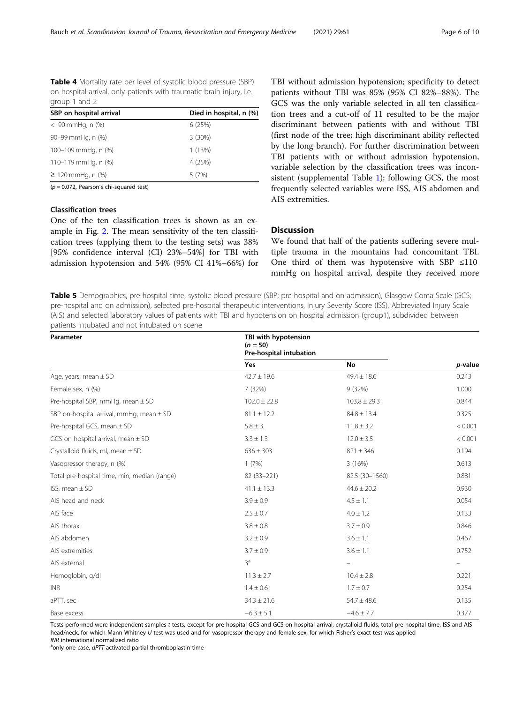<span id="page-5-0"></span>Table 4 Mortality rate per level of systolic blood pressure (SBP) on hospital arrival, only patients with traumatic brain injury, i.e. group 1 and 2

| SBP on hospital arrival | Died in hospital, n (%) |
|-------------------------|-------------------------|
| $< 90$ mmHq, n $(\%)$   | 6(25%)                  |
| 90-99 mmHg, n (%)       | 3(30%)                  |
| 100-109 mmHg, n (%)     | 1(13%)                  |
| 110-119 mmHg, n (%)     | 4 (25%)                 |
| $≥ 120$ mmHq, n $%$     | 5(7%)                   |
|                         |                         |

 $(p = 0.072,$  Pearson's chi-squared test)

#### Classification trees

One of the ten classification trees is shown as an example in Fig. [2.](#page-6-0) The mean sensitivity of the ten classification trees (applying them to the testing sets) was 38% [95% confidence interval (CI) 23%–54%] for TBI with admission hypotension and 54% (95% CI 41%–66%) for TBI without admission hypotension; specificity to detect patients without TBI was 85% (95% CI 82%–88%). The GCS was the only variable selected in all ten classification trees and a cut-off of 11 resulted to be the major discriminant between patients with and without TBI (first node of the tree; high discriminant ability reflected by the long branch). For further discrimination between TBI patients with or without admission hypotension, variable selection by the classification trees was inconsistent (supplemental Table [1](#page-8-0)); following GCS, the most frequently selected variables were ISS, AIS abdomen and AIS extremities.

#### **Discussion**

We found that half of the patients suffering severe multiple trauma in the mountains had concomitant TBI. One third of them was hypotensive with SBP ≤110 mmHg on hospital arrival, despite they received more

Table 5 Demographics, pre-hospital time, systolic blood pressure (SBP; pre-hospital and on admission), Glasgow Coma Scale (GCS; pre-hospital and on admission), selected pre-hospital therapeutic interventions, Injury Severity Score (ISS), Abbreviated Injury Scale (AIS) and selected laboratory values of patients with TBI and hypotension on hospital admission (group1), subdivided between patients intubated and not intubated on scene

| Parameter                                    | TBI with hypotension<br>$(n = 50)$<br>Pre-hospital intubation |                          |         |
|----------------------------------------------|---------------------------------------------------------------|--------------------------|---------|
|                                              | Yes                                                           | No                       | p-value |
| Age, years, mean $\pm$ SD                    | $42.7 \pm 19.6$                                               | $49.4 \pm 18.6$          | 0.243   |
| Female sex, n (%)                            | 7 (32%)                                                       | 9(32%)                   | 1.000   |
| Pre-hospital SBP, mmHg, mean $\pm$ SD        | $102.0 \pm 22.8$                                              | $103.8 \pm 29.3$         | 0.844   |
| SBP on hospital arrival, mmHg, mean $\pm$ SD | $81.1 \pm 12.2$                                               | $84.8 \pm 13.4$          | 0.325   |
| Pre-hospital GCS, mean $\pm$ SD              | $5.8 \pm 3.$                                                  | $11.8 \pm 3.2$           | < 0.001 |
| GCS on hospital arrival, mean $\pm$ SD       | $3.3 \pm 1.3$                                                 | $12.0 \pm 3.5$           | < 0.001 |
| Crystalloid fluids, ml, mean $\pm$ SD        | $636 \pm 303$                                                 | $821 \pm 346$            | 0.194   |
| Vasopressor therapy, n (%)                   | 1(7%)                                                         | 3(16%)                   | 0.613   |
| Total pre-hospital time, min, median (range) | 82 (33-221)                                                   | 82.5 (30-1560)           | 0.881   |
| ISS, mean $\pm$ SD                           | $41.1 \pm 13.3$                                               | $44.6 \pm 20.2$          | 0.930   |
| AIS head and neck                            | $3.9 \pm 0.9$                                                 | $4.5 \pm 1.1$            | 0.054   |
| AIS face                                     | $2.5 \pm 0.7$                                                 | $4.0 \pm 1.2$            | 0.133   |
| AIS thorax                                   | $3.8 \pm 0.8$                                                 | $3.7 \pm 0.9$            | 0.846   |
| AIS abdomen                                  | $3.2 \pm 0.9$                                                 | $3.6 \pm 1.1$            | 0.467   |
| AIS extremities                              | $3.7 \pm 0.9$                                                 | $3.6 \pm 1.1$            | 0.752   |
| AIS external                                 | 3 <sup>a</sup>                                                | $\overline{\phantom{m}}$ |         |
| Hemoglobin, g/dl                             | $11.3 \pm 2.7$                                                | $10.4 \pm 2.8$           | 0.221   |
| <b>INR</b>                                   | $1.4 \pm 0.6$                                                 | $1.7 \pm 0.7$            | 0.254   |
| aPTT, sec                                    | $34.3 \pm 21.6$                                               | $54.7 \pm 48.6$          | 0.135   |
| Base excess                                  | $-6.3 \pm 5.1$                                                | $-4.6 \pm 7.7$           | 0.377   |

Tests performed were independent samples t-tests, except for pre-hospital GCS and GCS on hospital arrival, crystalloid fluids, total pre-hospital time, ISS and AIS head/neck, for which Mann-Whitney U test was used and for vasopressor therapy and female sex, for which Fisher's exact test was applied INR international normalized ratio

 $a$ only one case,  $a$ PTT activated partial thromboplastin time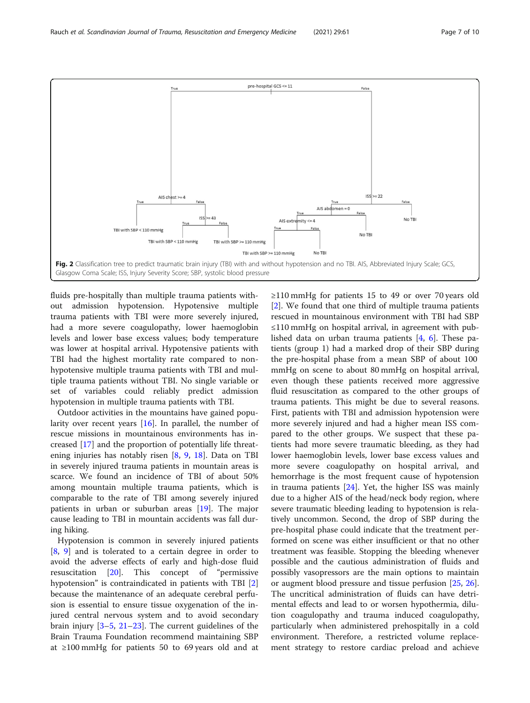<span id="page-6-0"></span>

fluids pre-hospitally than multiple trauma patients without admission hypotension. Hypotensive multiple trauma patients with TBI were more severely injured, had a more severe coagulopathy, lower haemoglobin levels and lower base excess values; body temperature was lower at hospital arrival. Hypotensive patients with TBI had the highest mortality rate compared to nonhypotensive multiple trauma patients with TBI and multiple trauma patients without TBI. No single variable or set of variables could reliably predict admission hypotension in multiple trauma patients with TBI.

Outdoor activities in the mountains have gained popularity over recent years [\[16\]](#page-8-0). In parallel, the number of rescue missions in mountainous environments has increased [\[17\]](#page-8-0) and the proportion of potentially life threatening injuries has notably risen [\[8,](#page-8-0) [9,](#page-8-0) [18\]](#page-8-0). Data on TBI in severely injured trauma patients in mountain areas is scarce. We found an incidence of TBI of about 50% among mountain multiple trauma patients, which is comparable to the rate of TBI among severely injured patients in urban or suburban areas [\[19](#page-8-0)]. The major cause leading to TBI in mountain accidents was fall during hiking.

Hypotension is common in severely injured patients [[8,](#page-8-0) [9\]](#page-8-0) and is tolerated to a certain degree in order to avoid the adverse effects of early and high-dose fluid resuscitation [\[20](#page-8-0)]. This concept of "permissive hypotension" is contraindicated in patients with TBI [\[2](#page-8-0)] because the maintenance of an adequate cerebral perfusion is essential to ensure tissue oxygenation of the injured central nervous system and to avoid secondary brain injury [\[3](#page-8-0)–[5,](#page-8-0) [21](#page-8-0)–[23](#page-8-0)]. The current guidelines of the Brain Trauma Foundation recommend maintaining SBP at ≥100 mmHg for patients 50 to 69 years old and at

≥110 mmHg for patients 15 to 49 or over 70 years old [[2\]](#page-8-0). We found that one third of multiple trauma patients rescued in mountainous environment with TBI had SBP ≤110 mmHg on hospital arrival, in agreement with published data on urban trauma patients [[4,](#page-8-0) [6\]](#page-8-0). These patients (group 1) had a marked drop of their SBP during the pre-hospital phase from a mean SBP of about 100 mmHg on scene to about 80 mmHg on hospital arrival, even though these patients received more aggressive fluid resuscitation as compared to the other groups of trauma patients. This might be due to several reasons. First, patients with TBI and admission hypotension were more severely injured and had a higher mean ISS compared to the other groups. We suspect that these patients had more severe traumatic bleeding, as they had lower haemoglobin levels, lower base excess values and more severe coagulopathy on hospital arrival, and hemorrhage is the most frequent cause of hypotension in trauma patients [\[24\]](#page-9-0). Yet, the higher ISS was mainly due to a higher AIS of the head/neck body region, where severe traumatic bleeding leading to hypotension is relatively uncommon. Second, the drop of SBP during the pre-hospital phase could indicate that the treatment performed on scene was either insufficient or that no other treatment was feasible. Stopping the bleeding whenever possible and the cautious administration of fluids and possibly vasopressors are the main options to maintain or augment blood pressure and tissue perfusion [\[25](#page-9-0), [26](#page-9-0)]. The uncritical administration of fluids can have detrimental effects and lead to or worsen hypothermia, dilution coagulopathy and trauma induced coagulopathy, particularly when administered prehospitally in a cold environment. Therefore, a restricted volume replacement strategy to restore cardiac preload and achieve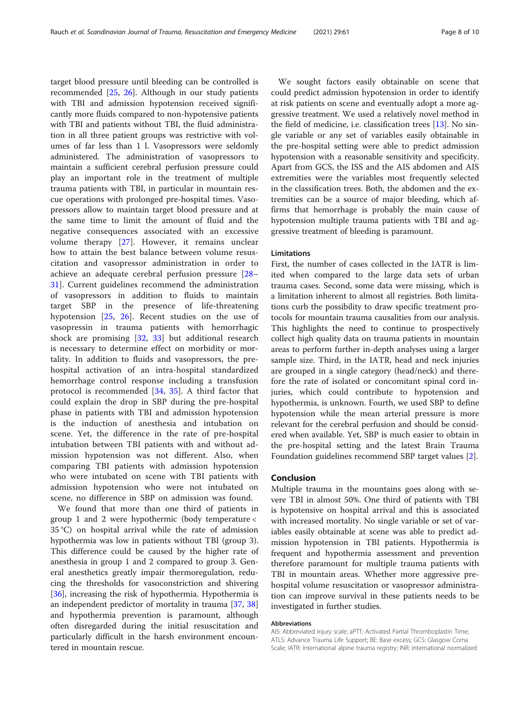target blood pressure until bleeding can be controlled is recommended [[25,](#page-9-0) [26\]](#page-9-0). Although in our study patients with TBI and admission hypotension received significantly more fluids compared to non-hypotensive patients with TBI and patients without TBI, the fluid administration in all three patient groups was restrictive with volumes of far less than 1 l. Vasopressors were seldomly administered. The administration of vasopressors to maintain a sufficient cerebral perfusion pressure could play an important role in the treatment of multiple trauma patients with TBI, in particular in mountain rescue operations with prolonged pre-hospital times. Vasopressors allow to maintain target blood pressure and at the same time to limit the amount of fluid and the negative consequences associated with an excessive volume therapy [[27](#page-9-0)]. However, it remains unclear how to attain the best balance between volume resuscitation and vasopressor administration in order to achieve an adequate cerebral perfusion pressure [[28](#page-9-0)– [31\]](#page-9-0). Current guidelines recommend the administration of vasopressors in addition to fluids to maintain target SBP in the presence of life-threatening hypotension [[25,](#page-9-0) [26](#page-9-0)]. Recent studies on the use of vasopressin in trauma patients with hemorrhagic shock are promising [\[32](#page-9-0), [33\]](#page-9-0) but additional research is necessary to determine effect on morbidity or mortality. In addition to fluids and vasopressors, the prehospital activation of an intra-hospital standardized hemorrhage control response including a transfusion protocol is recommended [[34,](#page-9-0) [35](#page-9-0)]. A third factor that could explain the drop in SBP during the pre-hospital phase in patients with TBI and admission hypotension is the induction of anesthesia and intubation on scene. Yet, the difference in the rate of pre-hospital intubation between TBI patients with and without admission hypotension was not different. Also, when comparing TBI patients with admission hypotension who were intubated on scene with TBI patients with admission hypotension who were not intubated on scene, no difference in SBP on admission was found.

We found that more than one third of patients in group 1 and 2 were hypothermic (body temperature < 35 °C) on hospital arrival while the rate of admission hypothermia was low in patients without TBI (group 3). This difference could be caused by the higher rate of anesthesia in group 1 and 2 compared to group 3. General anesthetics greatly impair thermoregulation, reducing the thresholds for vasoconstriction and shivering [[36\]](#page-9-0), increasing the risk of hypothermia. Hypothermia is an independent predictor of mortality in trauma [\[37](#page-9-0), [38](#page-9-0)] and hypothermia prevention is paramount, although often disregarded during the initial resuscitation and particularly difficult in the harsh environment encountered in mountain rescue.

We sought factors easily obtainable on scene that could predict admission hypotension in order to identify at risk patients on scene and eventually adopt a more aggressive treatment. We used a relatively novel method in the field of medicine, i.e. classification trees [\[13](#page-8-0)]. No single variable or any set of variables easily obtainable in the pre-hospital setting were able to predict admission hypotension with a reasonable sensitivity and specificity. Apart from GCS, the ISS and the AIS abdomen and AIS extremities were the variables most frequently selected in the classification trees. Both, the abdomen and the extremities can be a source of major bleeding, which affirms that hemorrhage is probably the main cause of hypotension multiple trauma patients with TBI and aggressive treatment of bleeding is paramount.

#### Limitations

First, the number of cases collected in the IATR is limited when compared to the large data sets of urban trauma cases. Second, some data were missing, which is a limitation inherent to almost all registries. Both limitations curb the possibility to draw specific treatment protocols for mountain trauma causalities from our analysis. This highlights the need to continue to prospectively collect high quality data on trauma patients in mountain areas to perform further in-depth analyses using a larger sample size. Third, in the IATR, head and neck injuries are grouped in a single category (head/neck) and therefore the rate of isolated or concomitant spinal cord injuries, which could contribute to hypotension and hypothermia, is unknown. Fourth, we used SBP to define hypotension while the mean arterial pressure is more relevant for the cerebral perfusion and should be considered when available. Yet, SBP is much easier to obtain in the pre-hospital setting and the latest Brain Trauma Foundation guidelines recommend SBP target values [\[2](#page-8-0)].

#### Conclusion

Multiple trauma in the mountains goes along with severe TBI in almost 50%. One third of patients with TBI is hypotensive on hospital arrival and this is associated with increased mortality. No single variable or set of variables easily obtainable at scene was able to predict admission hypotension in TBI patients. Hypothermia is frequent and hypothermia assessment and prevention therefore paramount for multiple trauma patients with TBI in mountain areas. Whether more aggressive prehospital volume resuscitation or vasopressor administration can improve survival in these patients needs to be investigated in further studies.

#### Abbreviations

AIS: Abbreviated injury scale; aPTT: Activated Partial Thromboplastin Time; ATLS: Advance Trauma Life Support; BE: Base excess; GCS: Glasgow Coma Scale; IATR: International alpine trauma registry; INR: International normalized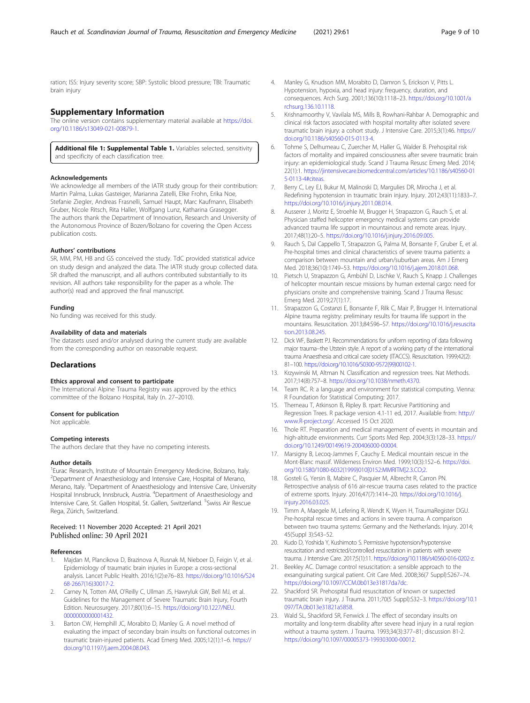<span id="page-8-0"></span>ration; ISS: Injury severity score; SBP: Systolic blood pressure; TBI: Traumatic brain injury

#### Supplementary Information

The online version contains supplementary material available at [https://doi.](https://doi.org/10.1186/s13049-021-00879-1) [org/10.1186/s13049-021-00879-1.](https://doi.org/10.1186/s13049-021-00879-1)

Additional file 1: Supplemental Table 1. Variables selected, sensitivity and specificity of each classification tree.

#### Acknowledgements

We acknowledge all members of the IATR study group for their contribution: Martin Palma, Lukas Gasteiger, Marianna Zatelli, Elke Frohn, Erika Noe, Stefanie Ziegler, Andreas Frasnelli, Samuel Haupt, Marc Kaufmann, Elisabeth Gruber, Nicole Ritsch, Rita Haller, Wolfgang Lunz, Katharina Grasegger. The authors thank the Department of Innovation, Research and University of the Autonomous Province of Bozen/Bolzano for covering the Open Access publication costs.

#### Authors' contributions

SR, MM, PM, HB and GS conceived the study. TdC provided statistical advice on study design and analyzed the data. The IATR study group collected data. SR drafted the manuscript, and all authors contributed substantially to its revision. All authors take responsibility for the paper as a whole. The author(s) read and approved the final manuscript.

#### Funding

No funding was received for this study.

#### Availability of data and materials

The datasets used and/or analysed during the current study are available from the corresponding author on reasonable request.

#### **Declarations**

#### Ethics approval and consent to participate

The International Alpine Trauma Registry was approved by the ethics committee of the Bolzano Hospital, Italy (n. 27–2010).

#### Consent for publication

Not applicable.

#### Competing interests

The authors declare that they have no competing interests.

#### Author details

<sup>1</sup> Eurac Research, Institute of Mountain Emergency Medicine, Bolzano, Italy. <sup>2</sup> Department of Anaesthesiology and Intensive Care, Hospital of Merano, Merano, Italy. <sup>3</sup>Department of Anaesthesiology and Intensive Care, University Hospital Innsbruck, Innsbruck, Austria. <sup>4</sup>Department of Anaesthesiology and Intensive Care, St. Gallen Hospital, St. Gallen, Switzerland. <sup>5</sup>Swiss Air Rescue Rega, Zürich, Switzerland.

#### Received: 11 November 2020 Accepted: 21 April 2021 Published online: 30 April 2021

#### References

- Majdan M, Plancikova D, Brazinova A, Rusnak M, Nieboer D, Feigin V, et al. Epidemiology of traumatic brain injuries in Europe: a cross-sectional analysis. Lancet Public Health. 2016;1(2):e76–83. [https://doi.org/10.1016/S24](https://doi.org/10.1016/S2468-2667(16)30017-2) [68-2667\(16\)30017-2](https://doi.org/10.1016/S2468-2667(16)30017-2).
- 2. Carney N, Totten AM, O'Reilly C, Ullman JS, Hawryluk GW, Bell MJ, et al. Guidelines for the Management of Severe Traumatic Brain Injury, Fourth Edition. Neurosurgery. 2017;80(1):6–15. [https://doi.org/10.1227/NEU.](https://doi.org/10.1227/NEU.0000000000001432) [0000000000001432](https://doi.org/10.1227/NEU.0000000000001432)
- Barton CW, Hemphill JC, Morabito D, Manley G. A novel method of evaluating the impact of secondary brain insults on functional outcomes in traumatic brain-injured patients. Acad Emerg Med. 2005;12(1):1–6. [https://](https://doi.org/10.1197/j.aem.2004.08.043) [doi.org/10.1197/j.aem.2004.08.043.](https://doi.org/10.1197/j.aem.2004.08.043)
- 4. Manley G, Knudson MM, Morabito D, Damron S, Erickson V, Pitts L. Hypotension, hypoxia, and head injury: frequency, duration, and consequences. Arch Surg. 2001;136(10):1118–23. [https://doi.org/10.1001/a](https://doi.org/10.1001/archsurg.136.10.1118) [rchsurg.136.10.1118](https://doi.org/10.1001/archsurg.136.10.1118).
- 5. Krishnamoorthy V, Vavilala MS, Mills B, Rowhani-Rahbar A. Demographic and clinical risk factors associated with hospital mortality after isolated severe traumatic brain injury: a cohort study. J Intensive Care. 2015;3(1):46. [https://](https://doi.org/10.1186/s40560-015-0113-4) [doi.org/10.1186/s40560-015-0113-4.](https://doi.org/10.1186/s40560-015-0113-4)
- 6. Tohme S, Delhumeau C, Zuercher M, Haller G, Walder B. Prehospital risk factors of mortality and impaired consciousness after severe traumatic brain injury: an epidemiological study. Scand J Trauma Resusc Emerg Med. 2014; 22(1):1. [https://jintensivecare.biomedcentral.com/articles/10.1186/s40560-01](https://jintensivecare.biomedcentral.com/articles/10.1186/s40560-015-0113-4#citeas) [5-0113-4#citeas.](https://jintensivecare.biomedcentral.com/articles/10.1186/s40560-015-0113-4#citeas)
- 7. Berry C, Ley EJ, Bukur M, Malinoski D, Margulies DR, Mirocha J, et al. Redefining hypotension in traumatic brain injury. Injury. 2012;43(11):1833–7. [https://doi.org/10.1016/j.injury.2011.08.014.](https://doi.org/10.1016/j.injury.2011.08.014)
- 8. Ausserer J, Moritz E, Stroehle M, Brugger H, Strapazzon G, Rauch S, et al. Physician staffed helicopter emergency medical systems can provide advanced trauma life support in mountainous and remote areas. Injury. 2017;48(1):20–5. [https://doi.org/10.1016/j.injury.2016.09.005.](https://doi.org/10.1016/j.injury.2016.09.005)
- Rauch S, Dal Cappello T, Strapazzon G, Palma M, Bonsante F, Gruber E, et al. Pre-hospital times and clinical characteristics of severe trauma patients: a comparison between mountain and urban/suburban areas. Am J Emerg Med. 2018;36(10):1749–53. [https://doi.org/10.1016/j.ajem.2018.01.068.](https://doi.org/10.1016/j.ajem.2018.01.068)
- 10. Pietsch U, Strapazzon G, Ambühl D, Lischke V, Rauch S, Knapp J. Challenges of helicopter mountain rescue missions by human external cargo: need for physicians onsite and comprehensive training. Scand J Trauma Resusc Emerg Med. 2019;27(1):17.
- 11. Strapazzon G, Costanzi E, Bonsante F, Rilk C, Mair P, Brugger H. International Alpine trauma registry: preliminary results for trauma life support in the mountains. Resuscitation. 2013;84:S96–S7. [https://doi.org/10.1016/j.resuscita](https://doi.org/10.1016/j.resuscitation.2013.08.245) [tion.2013.08.245](https://doi.org/10.1016/j.resuscitation.2013.08.245).
- 12. Dick WF, Baskett PJ. Recommendations for uniform reporting of data following major trauma--the Utstein style. A report of a working party of the international trauma Anaesthesia and critical care society (ITACCS). Resuscitation. 1999;42(2): 81–100. [https://doi.org/10.1016/S0300-9572\(99\)00102-1.](https://doi.org/10.1016/S0300-9572(99)00102-1)
- 13. Krzywinski M, Altman N. Classification and regression trees. Nat Methods. 2017;14(8):757–8. <https://doi.org/10.1038/nmeth.4370>.
- 14. Team RC. R: a language and environment for statistical computing. Vienna: R Foundation for Statistical Computing; 2017.
- 15. Therneau T, Atkinson B, Ripley B. rpart: Recursive Partitioning and Regression Trees. R package version 4.1-11 ed, 2017. Available from: [http://](http://www.R-project.org/) [www.R-project.org/](http://www.R-project.org/). Accessed 15 Oct 2020.
- 16. Thole RT. Preparation and medical management of events in mountain and high-altitude environments. Curr Sports Med Rep. 2004;3(3):128–33. [https://](https://doi.org/10.1249/00149619-200406000-00004) [doi.org/10.1249/00149619-200406000-00004.](https://doi.org/10.1249/00149619-200406000-00004)
- 17. Marsigny B, Lecoq-Jammes F, Cauchy E. Medical mountain rescue in the Mont-Blanc massif. Wilderness Environ Med. 1999;10(3):152–6. [https://doi.](https://doi.org/10.1580/1080-6032(1999)010[0152:MMRITM]2.3.CO;2) [org/10.1580/1080-6032\(1999\)010\[0152:MMRITM\]2.3.CO;2.](https://doi.org/10.1580/1080-6032(1999)010[0152:MMRITM]2.3.CO;2)
- 18. Gosteli G, Yersin B, Mabire C, Pasquier M, Albrecht R, Carron PN. Retrospective analysis of 616 air-rescue trauma cases related to the practice of extreme sports. Injury. 2016;47(7):1414–20. [https://doi.org/10.1016/j.](https://doi.org/10.1016/j.injury.2016.03.025) [injury.2016.03.025.](https://doi.org/10.1016/j.injury.2016.03.025)
- 19. Timm A, Maegele M, Lefering R, Wendt K, Wyen H, TraumaRegister DGU. Pre-hospital rescue times and actions in severe trauma. A comparison between two trauma systems: Germany and the Netherlands. Injury. 2014; 45(Suppl 3):S43–52.
- 20. Kudo D, Yoshida Y, Kushimoto S. Permissive hypotension/hypotensive resuscitation and restricted/controlled resuscitation in patients with severe trauma. J Intensive Care. 2017;5(1):11. <https://doi.org/10.1186/s40560-016-0202-z>.
- 21. Beekley AC. Damage control resuscitation: a sensible approach to the exsanguinating surgical patient. Crit Care Med. 2008;36(7 Suppl):S267–74. <https://doi.org/10.1097/CCM.0b013e31817da7dc>.
- 22. Shackford SR. Prehospital fluid resuscitation of known or suspected traumatic brain injury. J Trauma. 2011;70(5 Suppl):S32–3. [https://doi.org/10.1](https://doi.org/10.1097/TA.0b013e31821a5858) [097/TA.0b013e31821a5858.](https://doi.org/10.1097/TA.0b013e31821a5858)
- 23. Wald SL, Shackford SR, Fenwick J. The effect of secondary insults on mortality and long-term disability after severe head injury in a rural region without a trauma system. J Trauma. 1993;34(3):377–81; discussion 81-2. <https://doi.org/10.1097/00005373-199303000-00012>.